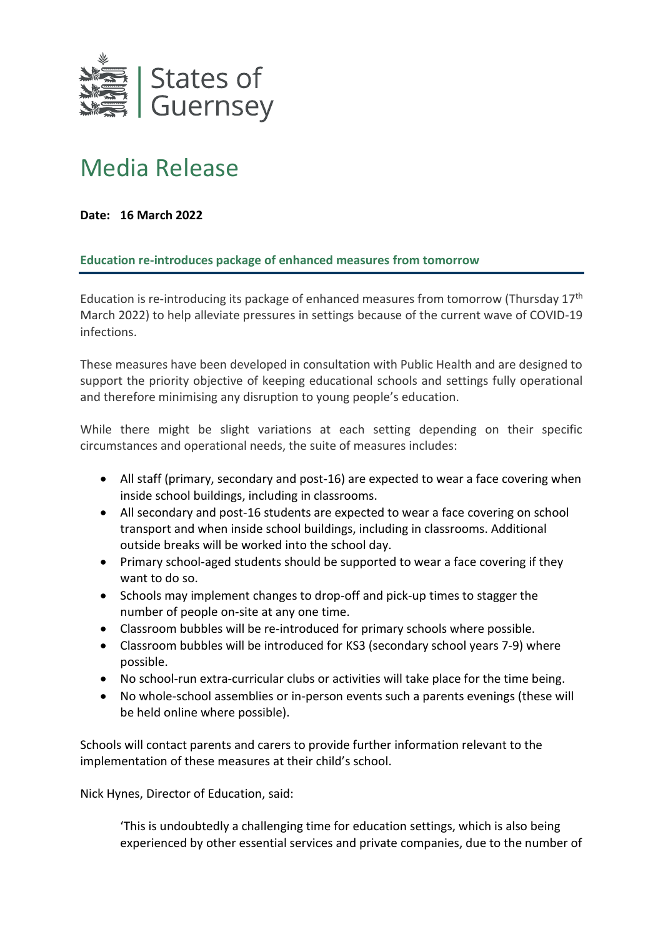

## Media Release

## **Date: 16 March 2022**

## **Education re-introduces package of enhanced measures from tomorrow**

Education is re-introducing its package of enhanced measures from tomorrow (Thursday 17<sup>th</sup> March 2022) to help alleviate pressures in settings because of the current wave of COVID-19 infections.

These measures have been developed in consultation with Public Health and are designed to support the priority objective of keeping educational schools and settings fully operational and therefore minimising any disruption to young people's education.

While there might be slight variations at each setting depending on their specific circumstances and operational needs, the suite of measures includes:

- All staff (primary, secondary and post-16) are expected to wear a face covering when inside school buildings, including in classrooms.
- All secondary and post-16 students are expected to wear a face covering on school transport and when inside school buildings, including in classrooms. Additional outside breaks will be worked into the school day.
- Primary school-aged students should be supported to wear a face covering if they want to do so.
- Schools may implement changes to drop-off and pick-up times to stagger the number of people on-site at any one time.
- Classroom bubbles will be re-introduced for primary schools where possible.
- Classroom bubbles will be introduced for KS3 (secondary school years 7-9) where possible.
- No school-run extra-curricular clubs or activities will take place for the time being.
- No whole-school assemblies or in-person events such a parents evenings (these will be held online where possible).

Schools will contact parents and carers to provide further information relevant to the implementation of these measures at their child's school.

Nick Hynes, Director of Education, said:

'This is undoubtedly a challenging time for education settings, which is also being experienced by other essential services and private companies, due to the number of